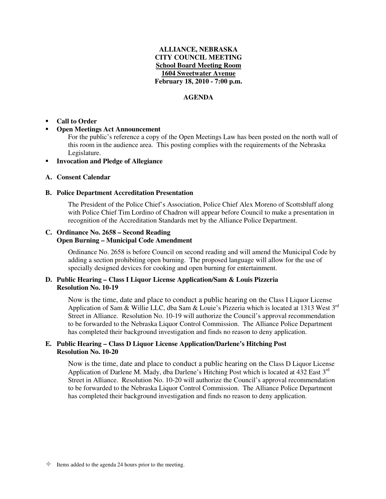## **ALLIANCE, NEBRASKA CITY COUNCIL MEETING School Board Meeting Room 1604 Sweetwater Avenue February 18, 2010 - 7:00 p.m.**

## **AGENDA**

#### -**Call to Order**

#### -**Open Meetings Act Announcement**

For the public's reference a copy of the Open Meetings Law has been posted on the north wall of this room in the audience area. This posting complies with the requirements of the Nebraska Legislature.

#### -**Invocation and Pledge of Allegiance**

## **A. Consent Calendar**

#### **B. Police Department Accreditation Presentation**

The President of the Police Chief's Association, Police Chief Alex Moreno of Scottsbluff along with Police Chief Tim Lordino of Chadron will appear before Council to make a presentation in recognition of the Accreditation Standards met by the Alliance Police Department.

## **C. Ordinance No. 2658 – Second Reading Open Burning – Municipal Code Amendment**

Ordinance No. 2658 is before Council on second reading and will amend the Municipal Code by adding a section prohibiting open burning. The proposed language will allow for the use of specially designed devices for cooking and open burning for entertainment.

## **D. Public Hearing – Class I Liquor License Application/Sam & Louis Pizzeria Resolution No. 10-19**

Now is the time, date and place to conduct a public hearing on the Class I Liquor License Application of Sam & Willie LLC, dba Sam & Louie's Pizzeria which is located at 1313 West  $3^{rd}$ Street in Alliance. Resolution No. 10-19 will authorize the Council's approval recommendation to be forwarded to the Nebraska Liquor Control Commission. The Alliance Police Department has completed their background investigation and finds no reason to deny application.

## **E. Public Hearing – Class D Liquor License Application/Darlene's Hitching Post Resolution No. 10-20**

Now is the time, date and place to conduct a public hearing on the Class D Liquor License Application of Darlene M. Mady, dba Darlene's Hitching Post which is located at 432 East  $3<sup>rd</sup>$ Street in Alliance. Resolution No. 10-20 will authorize the Council's approval recommendation to be forwarded to the Nebraska Liquor Control Commission. The Alliance Police Department has completed their background investigation and finds no reason to deny application.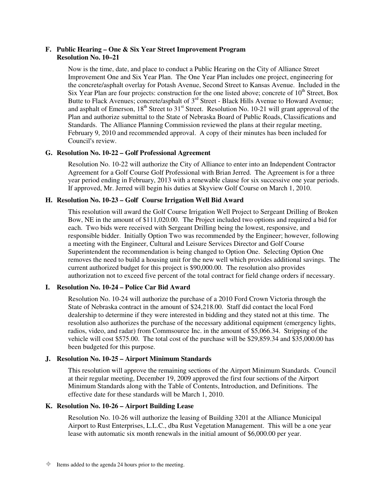### **F. Public Hearing – One & Six Year Street Improvement Program Resolution No. 10–21**

Now is the time, date, and place to conduct a Public Hearing on the City of Alliance Street Improvement One and Six Year Plan. The One Year Plan includes one project, engineering for the concrete/asphalt overlay for Potash Avenue, Second Street to Kansas Avenue. Included in the Six Year Plan are four projects: construction for the one listed above; concrete of  $10<sup>th</sup>$  Street, Box Butte to Flack Avenues; concrete/asphalt of  $3<sup>rd</sup>$  Street - Black Hills Avenue to Howard Avenue; and asphalt of Emerson,  $18<sup>th</sup>$  Street to  $31<sup>st</sup>$  Street. Resolution No. 10-21 will grant approval of the Plan and authorize submittal to the State of Nebraska Board of Public Roads, Classifications and Standards. The Alliance Planning Commission reviewed the plans at their regular meeting, February 9, 2010 and recommended approval. A copy of their minutes has been included for Council's review.

## **G. Resolution No. 10-22 – Golf Professional Agreement**

Resolution No. 10-22 will authorize the City of Alliance to enter into an Independent Contractor Agreement for a Golf Course Golf Professional with Brian Jerred. The Agreement is for a three year period ending in February, 2013 with a renewable clause for six successive one year periods. If approved, Mr. Jerred will begin his duties at Skyview Golf Course on March 1, 2010.

## **H. Resolution No. 10-23 – Golf Course Irrigation Well Bid Award**

This resolution will award the Golf Course Irrigation Well Project to Sergeant Drilling of Broken Bow, NE in the amount of \$111,020.00. The Project included two options and required a bid for each. Two bids were received with Sergeant Drilling being the lowest, responsive, and responsible bidder. Initially Option Two was recommended by the Engineer; however, following a meeting with the Engineer, Cultural and Leisure Services Director and Golf Course Superintendent the recommendation is being changed to Option One. Selecting Option One removes the need to build a housing unit for the new well which provides additional savings. The current authorized budget for this project is \$90,000.00. The resolution also provides authorization not to exceed five percent of the total contract for field change orders if necessary.

# **I. Resolution No. 10-24 – Police Car Bid Award**

Resolution No. 10-24 will authorize the purchase of a 2010 Ford Crown Victoria through the State of Nebraska contract in the amount of \$24,218.00. Staff did contact the local Ford dealership to determine if they were interested in bidding and they stated not at this time. The resolution also authorizes the purchase of the necessary additional equipment (emergency lights, radios, video, and radar) from Commsource Inc. in the amount of \$5,066.34. Stripping of the vehicle will cost \$575.00. The total cost of the purchase will be \$29,859.34 and \$35,000.00 has been budgeted for this purpose.

## **J. Resolution No. 10-25 – Airport Minimum Standards**

This resolution will approve the remaining sections of the Airport Minimum Standards. Council at their regular meeting, December 19, 2009 approved the first four sections of the Airport Minimum Standards along with the Table of Contents, Introduction, and Definitions. The effective date for these standards will be March 1, 2010.

## **K. Resolution No. 10-26 – Airport Building Lease**

Resolution No. 10-26 will authorize the leasing of Building 3201 at the Alliance Municipal Airport to Rust Enterprises, L.L.C., dba Rust Vegetation Management. This will be a one year lease with automatic six month renewals in the initial amount of \$6,000.00 per year.